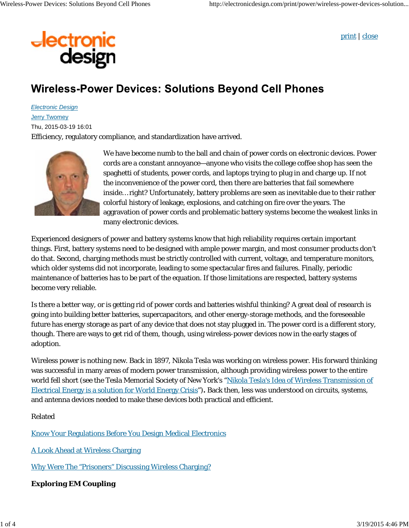

print | close

## **Wireless-Power Devices: Solutions Beyond Cell Phones**

*Electronic Design* **Jerry Twomey** 

Thu, 2015-03-19 16:01

Efficiency, regulatory compliance, and standardization have arrived.



We have become numb to the ball and chain of power cords on electronic devices. Power cords are a constant annoyance—anyone who visits the college coffee shop has seen the spaghetti of students, power cords, and laptops trying to plug in and charge up. If not the inconvenience of the power cord, then there are batteries that fail somewhere inside… right? Unfortunately, battery problems are seen as inevitable due to their rather colorful history of leakage, explosions, and catching on fire over the years. The aggravation of power cords and problematic battery systems become the weakest links in many electronic devices.

Experienced designers of power and battery systems know that high reliability requires certain important things. First, battery systems need to be designed with ample power margin, and most consumer products don't do that. Second, charging methods must be strictly controlled with current, voltage, and temperature monitors, which older systems did not incorporate, leading to some spectacular fires and failures. Finally, periodic maintenance of batteries has to be part of the equation. If those limitations are respected, battery systems become very reliable.

Is there a better way, or is getting rid of power cords and batteries wishful thinking? A great deal of research is going into building better batteries, supercapacitors, and other energy-storage methods, and the foreseeable future has energy storage as part of any device that does not stay plugged in. The power cord is a different story, though. There are ways to get rid of them, though, using wireless-power devices now in the early stages of adoption.

Wireless power is nothing new. Back in 1897, Nikola Tesla was working on wireless power. His forward thinking was successful in many areas of modern power transmission, although providing wireless power to the entire world fell short (see the Tesla Memorial Society of New York's "Nikola Tesla's Idea of Wireless Transmission of Electrical Energy is a solution for World Energy Crisis")**.** Back then, less was understood on circuits, systems, and antenna devices needed to make these devices both practical and efficient.

Related

Know Your Regulations Before You Design Medical Electronics

A Look Ahead at Wireless Charging

Why Were The "Prisoners" Discussing Wireless Charging?

**Exploring EM Coupling**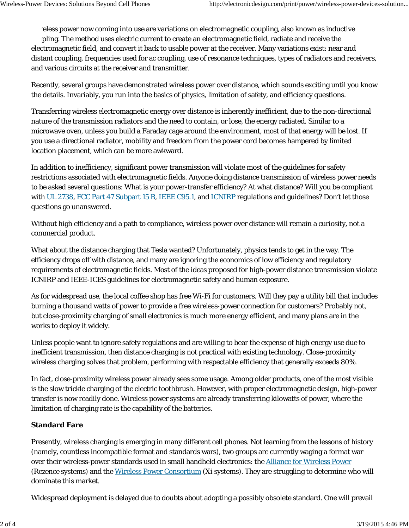reless power now coming into use are variations on electromagnetic coupling, also known as inductive pling. The method uses electric current to create an electromagnetic field, radiate and receive the electromagnetic field, and convert it back to usable power at the receiver. Many variations exist: near and distant coupling, frequencies used for ac coupling, use of resonance techniques, types of radiators and receivers, and various circuits at the receiver and transmitter.

Recently, several groups have demonstrated wireless power over distance, which sounds exciting until you know the details. Invariably, you run into the basics of physics, limitation of safety, and efficiency questions.

Transferring wireless electromagnetic energy over distance is inherently inefficient, due to the non-directional nature of the transmission radiators and the need to contain, or lose, the energy radiated. Similar to a microwave oven, unless you build a Faraday cage around the environment, most of that energy will be lost. If you use a directional radiator, mobility and freedom from the power cord becomes hampered by limited location placement, which can be more awkward.

In addition to inefficiency, significant power transmission will violate most of the guidelines for safety restrictions associated with electromagnetic fields. Anyone doing distance transmission of wireless power needs to be asked several questions: What is your power-transfer efficiency? At what distance? Will you be compliant with UL 2738, FCC Part 47 Subpart 15 B, IEEE C95.1, and ICNIRP regulations and guidelines? Don't let those questions go unanswered.

Without high efficiency and a path to compliance, wireless power over distance will remain a curiosity, not a commercial product.

What about the distance charging that Tesla wanted? Unfortunately, physics tends to get in the way. The efficiency drops off with distance, and many are ignoring the economics of low efficiency and regulatory requirements of electromagnetic fields. Most of the ideas proposed for high-power distance transmission violate ICNIRP and IEEE-ICES guidelines for electromagnetic safety and human exposure.

As for widespread use, the local coffee shop has free Wi-Fi for customers. Will they pay a utility bill that includes burning a thousand watts of power to provide a free wireless-power connection for customers? Probably not, but close-proximity charging of small electronics is much more energy efficient, and many plans are in the works to deploy it widely.

Unless people want to ignore safety regulations and are willing to bear the expense of high energy use due to inefficient transmission, then distance charging is not practical with existing technology. Close-proximity wireless charging solves that problem, performing with respectable efficiency that generally exceeds 80%.

In fact, close-proximity wireless power already sees some usage. Among older products, one of the most visible is the slow trickle charging of the electric toothbrush. However, with proper electromagnetic design, high-power transfer is now readily done. Wireless power systems are already transferring kilowatts of power, where the limitation of charging rate is the capability of the batteries.

## **Standard Fare**

Presently, wireless charging is emerging in many different cell phones. Not learning from the lessons of history (namely, countless incompatible format and standards wars), two groups are currently waging a format war over their wireless-power standards used in small handheld electronics: the **Alliance for Wireless Power** (Rezence systems) and the Wireless Power Consortium (Xi systems). They are struggling to determine who will dominate this market.

Widespread deployment is delayed due to doubts about adopting a possibly obsolete standard. One will prevail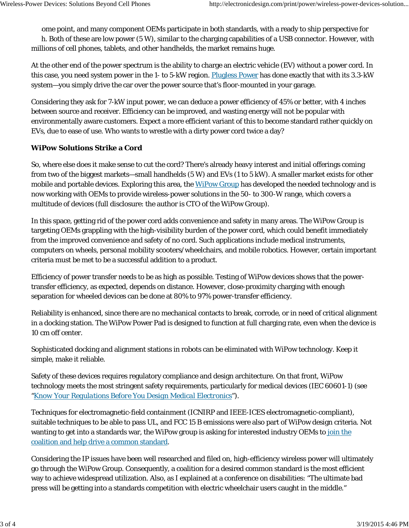ome point, and many component OEMs participate in both standards, with a ready to ship perspective for h. Both of these are low power  $(5 W)$ , similar to the charging capabilities of a USB connector. However, with millions of cell phones, tablets, and other handhelds, the market remains huge.

At the other end of the power spectrum is the ability to charge an electric vehicle (EV) without a power cord. In this case, you need system power in the 1- to 5-kW region. Plugless Power has done exactly that with its 3.3-kW system—you simply drive the car over the power source that's floor-mounted in your garage.

Considering they ask for 7-kW input power, we can deduce a power efficiency of 45% or better, with 4 inches between source and receiver. Efficiency can be improved, and wasting energy will not be popular with environmentally aware customers. Expect a more efficient variant of this to become standard rather quickly on EVs, due to ease of use. Who wants to wrestle with a dirty power cord twice a day?

## **WiPow Solutions Strike a Cord**

So, where else does it make sense to cut the cord? There's already heavy interest and initial offerings coming from two of the biggest markets—small handhelds (5 W) and EVs (1 to 5 kW). A smaller market exists for other mobile and portable devices. Exploring this area, the WiPow Group has developed the needed technology and is now working with OEMs to provide wireless-power solutions in the 50- to 300-W range, which covers a multitude of devices (full disclosure: the author is CTO of the WiPow Group).

In this space, getting rid of the power cord adds convenience and safety in many areas. The WiPow Group is targeting OEMs grappling with the high-visibility burden of the power cord, which could benefit immediately from the improved convenience and safety of no cord. Such applications include medical instruments, computers on wheels, personal mobility scooters/wheelchairs, and mobile robotics. However, certain important criteria must be met to be a successful addition to a product.

Efficiency of power transfer needs to be as high as possible. Testing of WiPow devices shows that the powertransfer efficiency, as expected, depends on distance. However, close-proximity charging with enough separation for wheeled devices can be done at 80% to 97% power-transfer efficiency.

Reliability is enhanced, since there are no mechanical contacts to break, corrode, or in need of critical alignment in a docking station. The WiPow Power Pad is designed to function at full charging rate, even when the device is 10 cm off center.

Sophisticated docking and alignment stations in robots can be eliminated with WiPow technology. Keep it simple, make it reliable.

Safety of these devices requires regulatory compliance and design architecture. On that front, WiPow technology meets the most stringent safety requirements, particularly for medical devices (IEC 60601-1) *(see "Know Your Regulations Before You Design Medical Electronics")*.

Techniques for electromagnetic-field containment (ICNIRP and IEEE-ICES electromagnetic-compliant), suitable techniques to be able to pass UL, and FCC 15 B emissions were also part of WiPow design criteria. Not wanting to get into a standards war, the WiPow group is asking for interested industry OEMs to join the coalition and help drive a common standard.

Considering the IP issues have been well researched and filed on, high-efficiency wireless power will ultimately go through the WiPow Group. Consequently, a coalition for a desired common standard is the most efficient way to achieve widespread utilization. Also, as I explained at a conference on disabilities: "The ultimate bad press will be getting into a standards competition with electric wheelchair users caught in the middle."